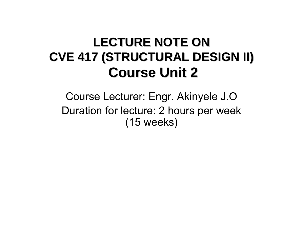### LECTURE NOTE ON **CVE 417 (STRUCTURAL DESIGN II) CVE 417 (STRUCTURAL DESIGN II) Course Unit 2 Course Unit 2**

Course Lecturer: Engr. Akinyele J.O Duration for lecture: 2 hours per week (15 weeks)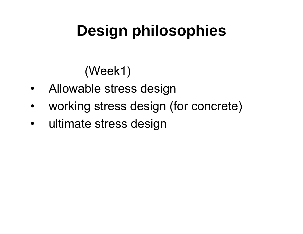## **Design philosophies**

(Week1)

- •Allowable stress design
- $\bullet$ working stress design (for concrete)
- $\bullet$ ultimate stress design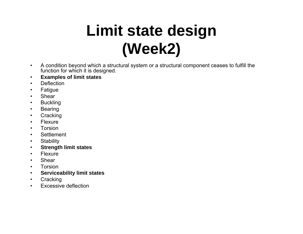## **Limit state design (Week2)**

- $\bullet$  A condition beyond which a structural system or a structural component ceases to fulfill the function for which it is designed.
- •**Examples of limit states**
- •**Deflection**
- •Fatigue
- •Shear
- •**Buckling**
- •Bearing
- •**Cracking**
- •Flexure
- •Torsion
- •**Settlement**
- •**Stability**
- •**Strength limit states**
- •**Flexure**
- •Shear
- •Torsion
- •**Serviceability limit states**
- $\bullet$ **Cracking**
- •Excessive deflection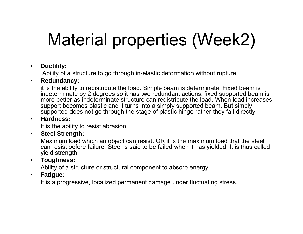## Material properties (Week2)

#### $\bullet$ **Ductility:**

Ability of a structure to go through in-elastic deformation without rupture.

### $\bullet$ **Redundancy:**

it is the ability to redistribute the load. Simple beam is determinate. Fixed beam is indeterminate by 2 degrees so it has two redundant actions. fixed supported beam is more better as indeterminate structure can redistribute the load. When load increases support becomes plastic and it turns into a simply supported beam. But simply supported does not go through the stage of plastic hinge rather they fail directly.

#### •**Hardness:**

It is the ability to resist abrasion.

#### $\bullet$ **Steel Strength:**

Maximum load which an object can resist. OR it is the maximum load that the steel can resist before failure. Steel is said to be failed when it has yielded. It is thus called yield strength

### $\bullet$ **Toughness:**

Ability of a structure or structural component to absorb energy.

### $\bullet$ **Fatigue:**

It is a progressive, localized permanent damage under fluctuating stress.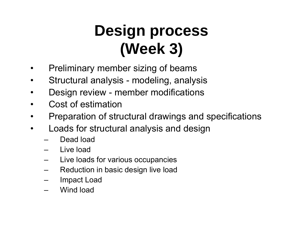## **Design process (Week 3)**

- •Preliminary member sizing of beams
- $\bullet$ Structural analysis - modeling, analysis
- •Design review - member modifications
- •Cost of estimation
- •Preparation of structural drawings and specifications
- • Loads for structural analysis and design
	- Dead load
	- Live load
	- Live loads for various occupancies
	- Reduction in basic design live load
	- Impact Load
	- Wind load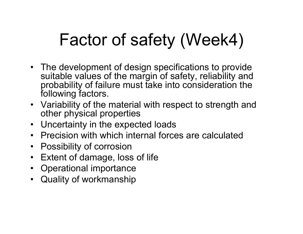## Factor of safety (Week4)

- The development of design specifications to provide suitable values of the margin of safety, reliability and probability of failure must take into consideration the following factors.
- Variability of the material with respect to strength and other physical properties
- Uncertainty in the expected loads
- Precision with which internal forces are calculated
- $\bullet$ Possibility of corrosion
- •Extent of damage, loss of life
- Operational importance
- Quality of workmanship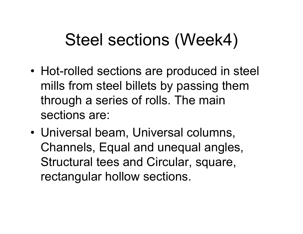## Steel sections (Week4)

- Hot-rolled sections are produced in steel mills from steel billets by passing them through a series of rolls. The main sections are:
- Universal beam, Universal columns, Channels, Equal and unequal angles, Structural tees and Circular, square, rectangular hollow sections.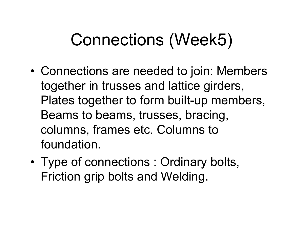## Connections (Week5)

- • Connections are needed to join: Members together in trusses and lattice girders, Plates together to form built-up members, Beams to beams, trusses, bracing, columns, frames etc. Columns to foundation.
- • Type of connections : Ordinary bolts, Friction grip bolts and Welding.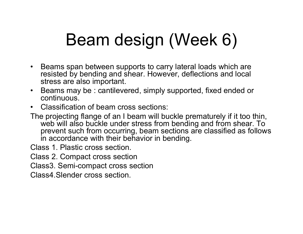## Beam design (Week 6)

- $\bullet$  Beams span between supports to carry lateral loads which are resisted by bending and shear. However, deflections and local stress are also important.
- $\bullet$  Beams may be : cantilevered, simply supported, fixed ended or continuous.
- $\bullet$ Classification of beam cross sections:
- The projecting flange of an I beam will buckle prematurely if it too thin, web will also buckle under stress from bending and from shear. To prevent such from occurring, beam sections are classified as follows in accordance with their behavior in bending.
- Class 1. Plastic cross section.
- Class 2. Compact cross section
- Class3. Semi-compact cross section
- Class4.Slender cross section.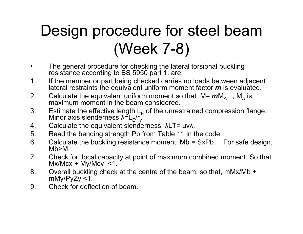## Design procedure for steel beam (Week 7-8)

- $\bullet$  The general procedure for checking the lateral torsional buckling resistance according to BS 5950 part 1. are:
- 1. If the member or part being checked carries no loads between adjacent lateral restraints the equivalent uniform moment factor *m* is evaluated.
- 2. Calculate the equivalent uniform moment so that M=  $m$ M<sub>A</sub> , M<sub>A</sub> Calculate the equivalent uniform moment so that M= **m**M<sub>A</sub> , M<sub>A</sub> is <br>maximum moment in the beam considered. maximum moment in the beam considered.
- 3. Estimate the effective length L<sub>E</sub> Estimate the effective length L<sub>E</sub> of the unrestrained compression flange.<br>Minor axis slenderness λ=L<sub>r</sub>/r. λ= $L_E/r_y$
- 4. Calculate the equivalent slenderness: λLT= uv λ.
- 5. Read the bending strength Pb from Table 11 in the code.
- 6. Calculate the buckling resistance moment: Mb = SxPb. For safe design, Mb>M
- 7. Check for local capacity at point of maximum combined moment. So that  $Mx/Mcx + My/Mcy < 1$ .
- 8. Overall buckling check at the centre of the beam: so that, mMx/Mb + mMy/PyZy <1.
- 9. Check for deflection of beam.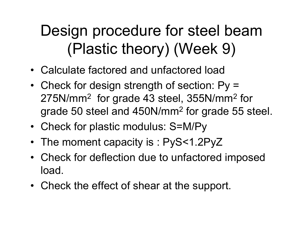### Design procedure for steel beam (Plastic theory) (Week 9)

- Calculate factored and unfactored load
- Check for design strength of section: Py <sup>=</sup> 275N/mm  $2$  for grade 43 steel, 355N/mm $2$  for grade 50 steel and 450N/mm 2 for grade 55 steel.
- Check for plastic modulus: S=M/Py
- The moment capacity is : PyS<1.2PyZ
- Check for deflection due to unfactored imposed load.
- Check the effect of shear at the support.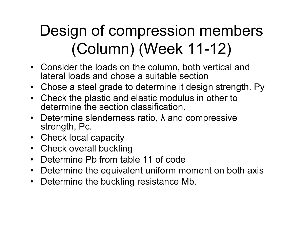## Design of compression members (Column) (Week 11-12)

- Consider the loads on the column, both vertical and lateral loads and chose a suitable section
- Chose a steel grade to determine it design strength. Py
- Check the plastic and elastic modulus in other to determine the section classification.
- Determine slenderness ratio, λ and compressive strength, Pc.
- Check local capacity
- Check overall buckling
- $\bullet$ Determine Pb from table 11 of code
- $\bullet$ Determine the equivalent uniform moment on both axis
- $\bullet$ Determine the buckling resistance Mb.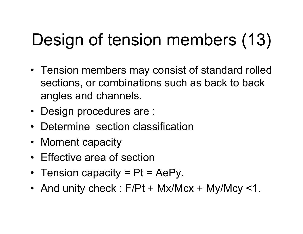# Design of tension members (13)

- Tension members may consist of standard rolled sections, or combinations such as back to back angles and channels.
- Design procedures are :
- Determine section classification
- Moment capacity
- Effective area of section
- Tension capacity = Pt = AePy.
- And unity check : F/Pt + Mx/Mcx + My/Mcy <1.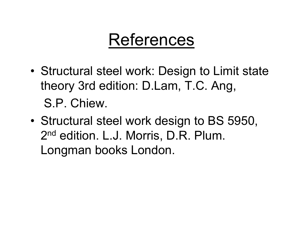### References

- • Structural steel work: Design to Limit state theory 3rd edition: D.Lam, T.C. Ang, S.P. Chiew.
- • Structural steel work design to BS 5950, 2nd edition. L.J. Morris, D.R. Plum. Longman books London.